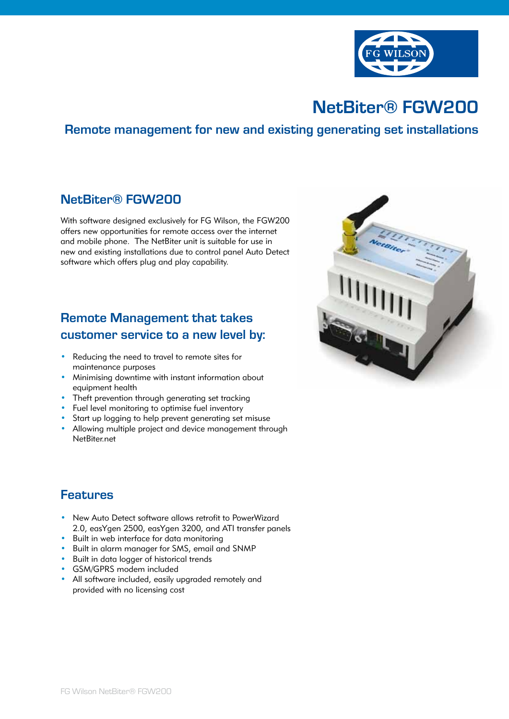

# **NetBiter® FGW200**

### **Remote management for new and existing generating set installations**

#### **NetBiter® FGW200**

With software designed exclusively for FG Wilson, the FGW200 offers new opportunities for remote access over the internet and mobile phone. The NetBiter unit is suitable for use in new and existing installations due to control panel Auto Detect software which offers plug and play capability.

# **Remote Management that takes customer service to a new level by:**

- Reducing the need to travel to remote sites for maintenance purposes
- Minimising downtime with instant information about equipment health
- Theft prevention through generating set tracking
- Fuel level monitoring to optimise fuel inventory
- Start up logging to help prevent generating set misuse
- Allowing multiple project and device management through NetBiter.net

## **Features**

- New Auto Detect software allows retrofit to PowerWizard 2.0, easYgen 2500, easYgen 3200, and ATI transfer panels
- Built in web interface for data monitoring
- Built in alarm manager for SMS, email and SNMP
- Built in data logger of historical trends
- GSM/GPRS modem included
- All software included, easily upgraded remotely and provided with no licensing cost